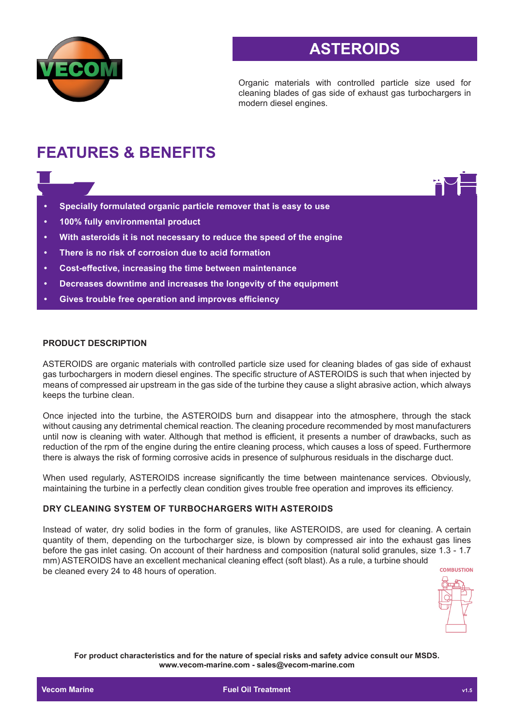

# **ASTEROIDS**

Organic materials with controlled particle size used for cleaning blades of gas side of exhaust gas turbochargers in modern diesel engines.

# **FEATURES & BENEFITS**

- **• Specially formulated organic particle remover that is easy to use**
- **• 100% fully environmental product**
- **• With asteroids it is not necessary to reduce the speed of the engine**
- **• There is no risk of corrosion due to acid formation**
- **• Cost-effective, increasing the time between maintenance**
- **• Decreases downtime and increases the longevity of the equipment**
- **• Gives trouble free operation and improves efficiency**

#### **PRODUCT DESCRIPTION**

ASTEROIDS are organic materials with controlled particle size used for cleaning blades of gas side of exhaust gas turbochargers in modern diesel engines. The specific structure of ASTEROIDS is such that when injected by means of compressed air upstream in the gas side of the turbine they cause a slight abrasive action, which always keeps the turbine clean.

Once injected into the turbine, the ASTEROIDS burn and disappear into the atmosphere, through the stack without causing any detrimental chemical reaction. The cleaning procedure recommended by most manufacturers until now is cleaning with water. Although that method is efficient, it presents a number of drawbacks, such as reduction of the rpm of the engine during the entire cleaning process, which causes a loss of speed. Furthermore there is always the risk of forming corrosive acids in presence of sulphurous residuals in the discharge duct.

When used regularly, ASTEROIDS increase significantly the time between maintenance services. Obviously, maintaining the turbine in a perfectly clean condition gives trouble free operation and improves its efficiency.

### **DRY CLEANING SYSTEM OF TURBOCHARGERS WITH ASTEROIDS**

Instead of water, dry solid bodies in the form of granules, like ASTEROIDS, are used for cleaning. A certain quantity of them, depending on the turbocharger size, is blown by compressed air into the exhaust gas lines before the gas inlet casing. On account of their hardness and composition (natural solid granules, size 1.3 - 1.7 mm) ASTEROIDS have an excellent mechanical cleaning effect (soft blast). As a rule, a turbine should COMBUSTION be cleaned every 24 to 48 hours of operation.



**For product characteristics and for the nature of special risks and safety advice consult our MSDS. www.vecom-marine.com - sales@vecom-marine.com**

**Communist Communist Communist Communist Communist Communist Communist Communist Communist Communist Communist Communist Communist Communist Communist Communist Communist Communist Communist Communist Communist Communist C**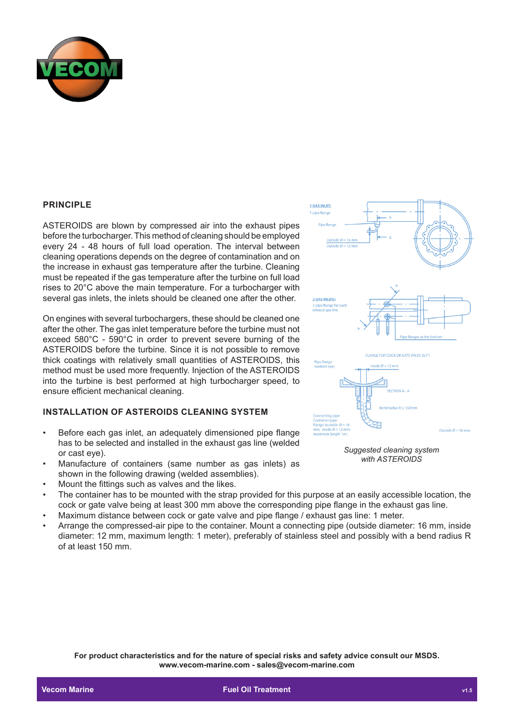

#### **PRINCIPLE**

ASTEROIDS are blown by compressed air into the exhaust pipes before the turbocharger. This method of cleaning should be employed every 24 - 48 hours of full load operation. The interval between cleaning operations depends on the degree of contamination and on the increase in exhaust gas temperature after the turbine. Cleaning must be repeated if the gas temperature after the turbine on full load rises to 20°C above the main temperature. For a turbocharger with several gas inlets, the inlets should be cleaned one after the other.

On engines with several turbochargers, these should be cleaned one after the other. The gas inlet temperature before the turbine must not exceed 580°C - 590°C in order to prevent severe burning of the ASTEROIDS before the turbine. Since it is not possible to remove thick coatings with relatively small quantities of ASTEROIDS, this method must be used more frequently. Injection of the ASTEROIDS into the turbine is best performed at high turbocharger speed, to ensure efficient mechanical cleaning.

### **INSTALLATION OF ASTEROIDS CLEANING SYSTEM**

- Before each gas inlet, an adequately dimensioned pipe flange has to be selected and installed in the exhaust gas line (welded or cast eye).
- Manufacture of containers (same number as gas inlets) as shown in the following drawing (welded assemblies).
- Mount the fittings such as valves and the likes.
- The container has to be mounted with the strap provided for this purpose at an easily accessible location, the cock or gate valve being at least 300 mm above the corresponding pipe flange in the exhaust gas line.
- Maximum distance between cock or gate valve and pipe flange / exhaust gas line: 1 meter.
- Arrange the compressed-air pipe to the container. Mount a connecting pipe (outside diameter: 16 mm, inside diameter: 12 mm, maximum length: 1 meter), preferably of stainless steel and possibly with a bend radius R of at least 150 mm.

**For product characteristics and for the nature of special risks and safety advice consult our MSDS. www.vecom-marine.com - sales@vecom-marine.com**



*Suggested cleaning system with ASTEROIDS*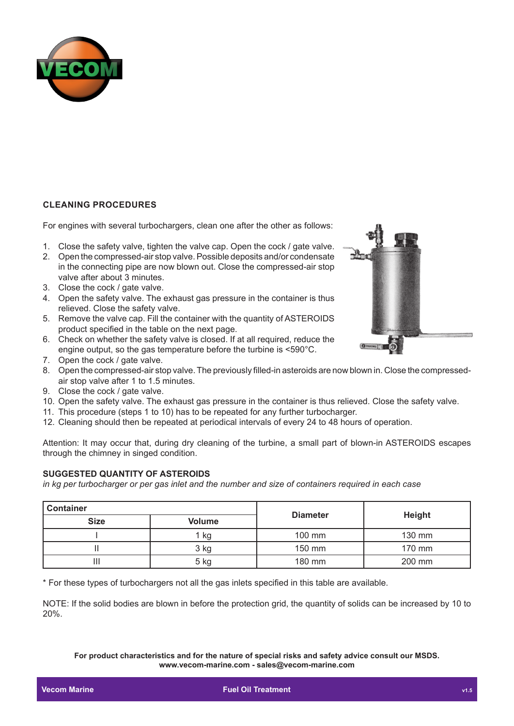

## **CLEANING PROCEDURES**

For engines with several turbochargers, clean one after the other as follows:

- 1. Close the safety valve, tighten the valve cap. Open the cock / gate valve.
- 2. Open the compressed-air stop valve. Possible deposits and/or condensate in the connecting pipe are now blown out. Close the compressed-air stop valve after about 3 minutes.
- 3. Close the cock / gate valve.
- 4. Open the safety valve. The exhaust gas pressure in the container is thus relieved. Close the safety valve.
- 5. Remove the valve cap. Fill the container with the quantity of ASTEROIDS product specified in the table on the next page.
- 6. Check on whether the safety valve is closed. If at all required, reduce the engine output, so the gas temperature before the turbine is <590°C.
- 7. Open the cock / gate valve.
- 8. Open the compressed-air stop valve. The previously filled-in asteroids are now blown in. Close the compressedair stop valve after 1 to 1.5 minutes.
- 9. Close the cock / gate valve.
- 10. Open the safety valve. The exhaust gas pressure in the container is thus relieved. Close the safety valve.
- 11. This procedure (steps 1 to 10) has to be repeated for any further turbocharger.
- 12. Cleaning should then be repeated at periodical intervals of every 24 to 48 hours of operation.

Attention: It may occur that, during dry cleaning of the turbine, a small part of blown-in ASTEROIDS escapes through the chimney in singed condition.

#### **SUGGESTED QUANTITY OF ASTEROIDS**

*in kg per turbocharger or per gas inlet and the number and size of containers required in each case*

| <b>Container</b> |        |                 |               |  |  |  |
|------------------|--------|-----------------|---------------|--|--|--|
| <b>Size</b>      | Volume | <b>Diameter</b> | <b>Height</b> |  |  |  |
|                  | 1 kg   | 100 mm          | 130 mm        |  |  |  |
|                  | 3 kg   | 150 mm          | 170 mm        |  |  |  |
| Ш                | $5$ kg | 180 mm          | 200 mm        |  |  |  |

\* For these types of turbochargers not all the gas inlets specified in this table are available.

NOTE: If the solid bodies are blown in before the protection grid, the quantity of solids can be increased by 10 to 20%.

**For product characteristics and for the nature of special risks and safety advice consult our MSDS. www.vecom-marine.com - sales@vecom-marine.com**

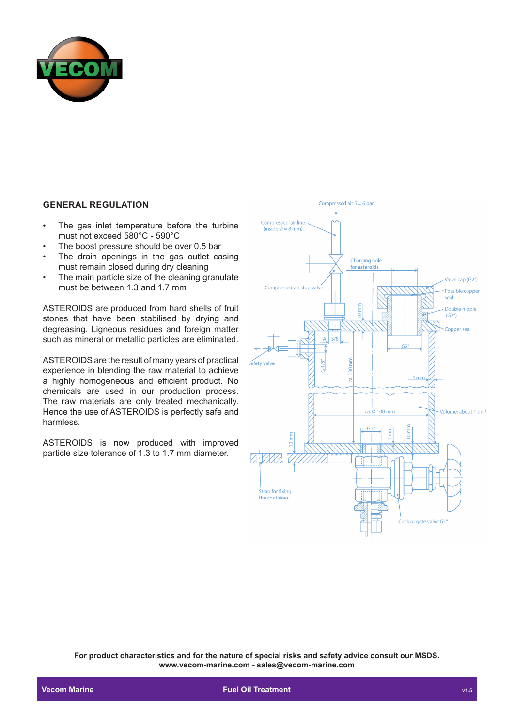

## **GENERAL REGULATION**

- The gas inlet temperature before the turbine must not exceed 580°C - 590°C
- The boost pressure should be over 0.5 bar
- The drain openings in the gas outlet casing must remain closed during dry cleaning
- The main particle size of the cleaning granulate must be between 1.3 and 1.7 mm

ASTEROIDS are produced from hard shells of fruit stones that have been stabilised by drying and degreasing. Ligneous residues and foreign matter such as mineral or metallic particles are eliminated.

ASTEROIDS are the result of many years of practical experience in blending the raw material to achieve a highly homogeneous and efficient product. No chemicals are used in our production process. The raw materials are only treated mechanically. Hence the use of ASTEROIDS is perfectly safe and harmless.

ASTEROIDS is now produced with improved particle size tolerance of 1.3 to 1.7 mm diameter.



**For product characteristics and for the nature of special risks and safety advice consult our MSDS. www.vecom-marine.com - sales@vecom-marine.com**

**Communist Communist Communist Communist Communist Communist Communist Communist Communist Communist Communist Communist Communist Communist Communist Communist Communist Communist Communist Communist Communist Communist C**